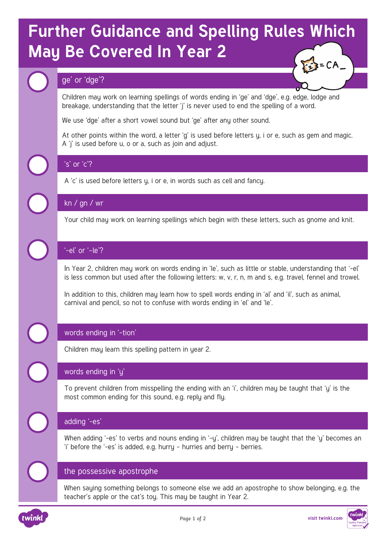# **Further Guidance and Spelling Rules Which May Be Covered In Year 2**   $= CA$

## ge' or 'dge'?

Children may work on learning spellings of words ending in 'ge' and 'dge', e.g. edge, lodge and breakage, understanding that the letter 'j' is never used to end the spelling of a word.

We use 'dge' after a short vowel sound but 'ge' after any other sound.

At other points within the word, a letter 'g' is used before letters y, i or e, such as gem and magic. A 'j' is used before u, o or a, such as join and adjust.

## 's' or 'c'?

A 'c' is used before letters y, i or e, in words such as cell and fancy.

## kn / gn / wr

Your child may work on learning spellings which begin with these letters, such as gnome and knit.

## '-el' or '–le'?

In Year 2, children may work on words ending in 'le', such as little or stable, understanding that '-el' is less common but used after the following letters: w, v, r, n, m and s, e.g. travel, fennel and trowel.

In addition to this, children may learn how to spell words ending in 'al' and 'il', such as animal, carnival and pencil, so not to confuse with words ending in 'el' and 'le'.

## words ending in '-tion'

Children may learn this spelling pattern in year 2.

## words ending in 'y'

To prevent children from misspelling the ending with an 'i', children may be taught that 'y' is the most common ending for this sound, e.g. reply and fly.

## adding '-es'

When adding '-es' to verbs and nouns ending in '-y', children may be taught that the 'y' becomes an 'i' before the '-es' is added, e.g. hurry – hurries and berry – berries.

## the possessive apostrophe

When saying something belongs to someone else we add an apostrophe to show belonging, e.g. the teacher's apple or the cat's toy. This may be taught in Year 2.